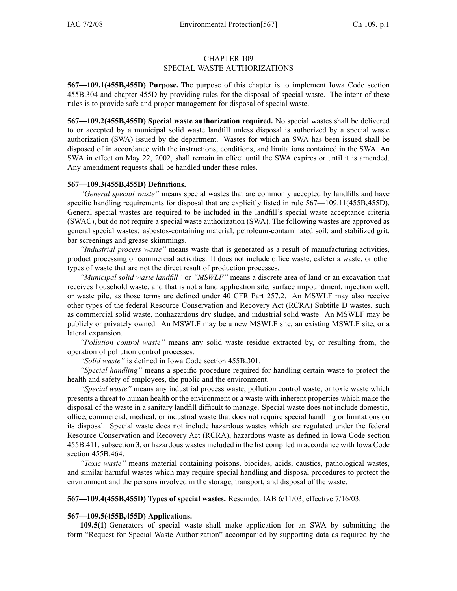## CHAPTER <sup>109</sup> SPECIAL WASTE AUTHORIZATIONS

**567—109.1(455B,455D)** Purpose. The purpose of this chapter is to implement Iowa Code section 455B.304 and chapter 455D by providing rules for the disposal of special waste. The intent of these rules is to provide safe and proper managemen<sup>t</sup> for disposal of special waste.

**567—109.2(455B,455D) Special waste authorization required.** No special wastes shall be delivered to or accepted by <sup>a</sup> municipal solid waste landfill unless disposal is authorized by <sup>a</sup> special waste authorization (SWA) issued by the department. Wastes for which an SWA has been issued shall be disposed of in accordance with the instructions, conditions, and limitations contained in the SWA. An SWA in effect on May 22, 2002, shall remain in effect until the SWA expires or until it is amended. Any amendment requests shall be handled under these rules.

## **567—109.3(455B,455D) Definitions.**

*"General special waste"* means special wastes that are commonly accepted by landfills and have specific handling requirements for disposal that are explicitly listed in rule  $567-109.11(455B,455D)$ . General special wastes are required to be included in the landfill's special waste acceptance criteria (SWAC), but do not require <sup>a</sup> special waste authorization (SWA). The following wastes are approved as genera<sup>l</sup> special wastes: asbestos-containing material; petroleum-contaminated soil; and stabilized grit, bar screenings and grease skimmings.

*"Industrial process waste"* means waste that is generated as <sup>a</sup> result of manufacturing activities, product processing or commercial activities. It does not include office waste, cafeteria waste, or other types of waste that are not the direct result of production processes.

*"Municipal solid waste landfill"* or *"MSWLF"* means <sup>a</sup> discrete area of land or an excavation that receives household waste, and that is not <sup>a</sup> land application site, surface impoundment, injection well, or waste <sup>p</sup>ile, as those terms are defined under <sup>40</sup> CFR Part 257.2. An MSWLF may also receive other types of the federal Resource Conservation and Recovery Act (RCRA) Subtitle <sup>D</sup> wastes, such as commercial solid waste, nonhazardous dry sludge, and industrial solid waste. An MSWLF may be publicly or privately owned. An MSWLF may be <sup>a</sup> new MSWLF site, an existing MSWLF site, or <sup>a</sup> lateral expansion.

*"Pollution control waste"* means any solid waste residue extracted by, or resulting from, the operation of pollution control processes.

*"Solid waste"* is defined in Iowa Code section 455B.301.

*"Special handling"* means <sup>a</sup> specific procedure required for handling certain waste to protect the health and safety of employees, the public and the environment.

*"Special waste"* means any industrial process waste, pollution control waste, or toxic waste which presents <sup>a</sup> threat to human health or the environment or <sup>a</sup> waste with inherent properties which make the disposal of the waste in <sup>a</sup> sanitary landfill difficult to manage. Special waste does not include domestic, office, commercial, medical, or industrial waste that does not require special handling or limitations on its disposal. Special waste does not include hazardous wastes which are regulated under the federal Resource Conservation and Recovery Act (RCRA), hazardous waste as defined in Iowa Code section 455B.411, subsection 3, or hazardous wastes included in the list compiled in accordance with Iowa Code section 455B.464.

*"Toxic waste"* means material containing poisons, biocides, acids, caustics, pathological wastes, and similar harmful wastes which may require special handling and disposal procedures to protect the environment and the persons involved in the storage, transport, and disposal of the waste.

**567—109.4(455B,455D) Types of special wastes.** Rescinded IAB 6/11/03, effective 7/16/03.

## **567—109.5(455B,455D) Applications.**

**109.5(1)** Generators of special waste shall make application for an SWA by submitting the form "Request for Special Waste Authorization" accompanied by supporting data as required by the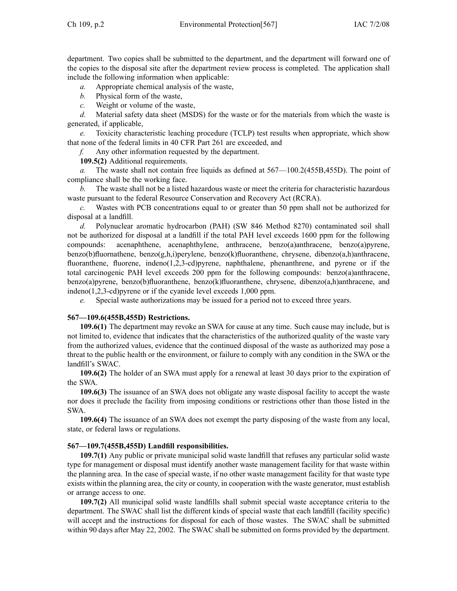department. Two copies shall be submitted to the department, and the department will forward one of the copies to the disposal site after the department review process is completed. The application shall include the following information when applicable:<br> $a$ . Appropriate chemical analysis of the waster

- *a.* Appropriate chemical analysis of the waste,<br>*b.* Physical form of the waste.
- *b.* Physical form of the waste, *c.* Weight or volume of the wa
- *c.* Weight or volume of the waste,<br>*d.* Material safety data sheet (MSI)

*d.* Material safety data sheet (MSDS) for the waste or for the materials from which the waste is generated, if applicable,<br>e. Toxicity charac

Toxicity characteristic leaching procedure (TCLP) test results when appropriate, which show that none of the federal limits in 40 CFR Part 261 are exceeded, and  $f$ . Any other information requested by the department.

*f.* Any other information requested by the department.

**109.5(2)** Additional requirements.<br>*a*. The waste shall not contain f

The waste shall not contain free liquids as defined at  $567-100.2(455B,455D)$ . The point of compliance shall be the working face.<br> $\mathbf{b}$ . The waste shall not be a listed

*b.* The waste shall not be <sup>a</sup> listed hazardous waste or meet the criteria for characteristic hazardous waste pursuant to the federal Resource Conservation and Recovery Act (RCRA).<br>
c. Wastes with PCB concentrations equal to or greater than 50 ppm shall

Wastes with PCB concentrations equal to or greater than 50 ppm shall not be authorized for disposal at <sup>a</sup> landfill.

*d.* Polynuclear aromatic hydrocarbon (PAH) (SW <sup>846</sup> Method 8270) contaminated soil shall not be authorized for disposal at a landfill if the total PAH level exceeds 1600 ppm for the following compounds: acenaphthene, acenaphthylene, anthracene, benzo(a)anthracene, benzo(a)pyrene, acenaphthene, acenaphthylene, anthracene, benzo(a)anthracene, benzo(a)pyrene, benzo(b)fluornathene, benzo(g,h,i)perylene, benzo(k)fluoranthene, chrysene, dibenzo(a,h)anthracene, fluoranthene, fluorene, indeno(1,2,3-cd)pyrene, naphthalene, <sup>p</sup>henanthrene, and pyrene or if the total carcinogenic PAH level exceeds <sup>200</sup> ppm for the following compounds: benzo(a)anthracene, benzo(a)pyrene, benzo(b)fluoranthene, benzo(k)fluoranthene, chrysene, dibenzo(a,h)anthracene, and indeno(1,2,3-cd) pyrene or if the cyanide level exceeds 1,000 ppm.<br> *e*. Special waste authorizations may be issued for a period no

Special waste authorizations may be issued for a period not to exceed three years.

## **567—109.6(455B,455D) Restrictions.**

**109.6(1)** The department may revoke an SWA for cause at any time. Such cause may include, but is not limited to, evidence that indicates that the characteristics of the authorized quality of the waste vary from the authorized values, evidence that the continued disposal of the waste as authorized may pose <sup>a</sup> threat to the public health or the environment, or failure to comply with any condition in the SWA or the landfill's SWAC.

**109.6(2)** The holder of an SWA must apply for <sup>a</sup> renewal at least <sup>30</sup> days prior to the expiration of the SWA.

**109.6(3)** The issuance of an SWA does not obligate any waste disposal facility to accep<sup>t</sup> the waste nor does it preclude the facility from imposing conditions or restrictions other than those listed in the SWA.

**109.6(4)** The issuance of an SWA does not exemp<sup>t</sup> the party disposing of the waste from any local, state, or federal laws or regulations.

## **567—109.7(455B,455D) Landfill responsibilities.**

**109.7(1)** Any public or private municipal solid waste landfill that refuses any particular solid waste type for managemen<sup>t</sup> or disposal must identify another waste managemen<sup>t</sup> facility for that waste within the <sup>p</sup>lanning area. In the case of special waste, if no other waste managemen<sup>t</sup> facility for that waste type exists within the <sup>p</sup>lanning area, the city or county, in cooperation with the waste generator, must establish or arrange access to one.

**109.7(2)** All municipal solid waste landfills shall submit special waste acceptance criteria to the department. The SWAC shall list the different kinds of special waste that each landfill (facility specific) will accep<sup>t</sup> and the instructions for disposal for each of those wastes. The SWAC shall be submitted within <sup>90</sup> days after May 22, 2002. The SWAC shall be submitted on forms provided by the department.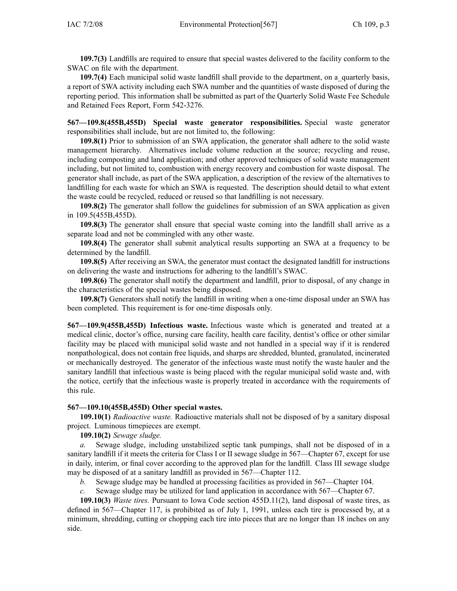**109.7(3)** Landfills are required to ensure that special wastes delivered to the facility conform to the SWAC on file with the department.

**109.7(4)** Each municipal solid waste landfill shall provide to the department, on a\_quarterly basis, <sup>a</sup> repor<sup>t</sup> of SWA activity including each SWA number and the quantities of waste disposed of during the reporting period. This information shall be submitted as par<sup>t</sup> of the Quarterly Solid Waste Fee Schedule and Retained Fees Report, Form 542-3276.

**567—109.8(455B,455D) Special waste generator responsibilities.** Special waste generator responsibilities shall include, but are not limited to, the following:

**109.8(1)** Prior to submission of an SWA application, the generator shall adhere to the solid waste managemen<sup>t</sup> hierarchy. Alternatives include volume reduction at the source; recycling and reuse, including composting and land application; and other approved techniques of solid waste managemen<sup>t</sup> including, but not limited to, combustion with energy recovery and combustion for waste disposal. The generator shall include, as par<sup>t</sup> of the SWA application, <sup>a</sup> description of the review of the alternatives to landfilling for each waste for which an SWA is requested. The description should detail to what extent the waste could be recycled, reduced or reused so that landfilling is not necessary.

**109.8(2)** The generator shall follow the guidelines for submission of an SWA application as <sup>g</sup>iven in 109.5(455B,455D).

**109.8(3)** The generator shall ensure that special waste coming into the landfill shall arrive as <sup>a</sup> separate load and not be commingled with any other waste.

**109.8(4)** The generator shall submit analytical results supporting an SWA at <sup>a</sup> frequency to be determined by the landfill.

**109.8(5)** After receiving an SWA, the generator must contact the designated landfill for instructions on delivering the waste and instructions for adhering to the landfill's SWAC.

**109.8(6)** The generator shall notify the department and landfill, prior to disposal, of any change in the characteristics of the special wastes being disposed.

**109.8(7)** Generators shall notify the landfill in writing when <sup>a</sup> one-time disposal under an SWA has been completed. This requirement is for one-time disposals only.

**567—109.9(455B,455D)** Infectious waste. Infectious waste which is generated and treated at a medical clinic, doctor's office, nursing care facility, health care facility, dentist's office or other similar facility may be <sup>p</sup>laced with municipal solid waste and not handled in <sup>a</sup> special way if it is rendered nonpathological, does not contain free liquids, and sharps are shredded, blunted, granulated, incinerated or mechanically destroyed. The generator of the infectious waste must notify the waste hauler and the sanitary landfill that infectious waste is being <sup>p</sup>laced with the regular municipal solid waste and, with the notice, certify that the infectious waste is properly treated in accordance with the requirements of this rule.

## **567—109.10(455B,455D) Other special wastes.**

**109.10(1)** *Radioactive waste.* Radioactive materials shall not be disposed of by <sup>a</sup> sanitary disposal project. Luminous timepieces are exempt.

**109.10(2)** *Sewage sludge.*

Sewage sludge, including unstabilized septic tank pumpings, shall not be disposed of in a sanitary landfill if it meets the criteria for Class <sup>I</sup> or II sewage sludge in 567—Chapter 67, excep<sup>t</sup> for use in daily, interim, or final cover according to the approved <sup>p</sup>lan for the landfill. Class III sewage sludge may be disposed of at a sanitary landfill as provided in 567—Chapter 112.<br>b. Sewage sludge may be handled at processing facilities as provided

- *b.* Sewage sludge may be handled at processing facilities as provided in 567—Chapter 104. *c.* Sewage sludge may be utilized for land application in accordance with 567—Chapter 67.
- Sewage sludge may be utilized for land application in accordance with 567—Chapter 67.

**109.10(3)** *Waste tires.* Pursuant to Iowa Code section 455D.11(2), land disposal of waste tires, as defined in 567—Chapter 117, is prohibited as of July 1, 1991, unless each tire is processed by, at <sup>a</sup> minimum, shredding, cutting or chopping each tire into <sup>p</sup>ieces that are no longer than <sup>18</sup> inches on any side.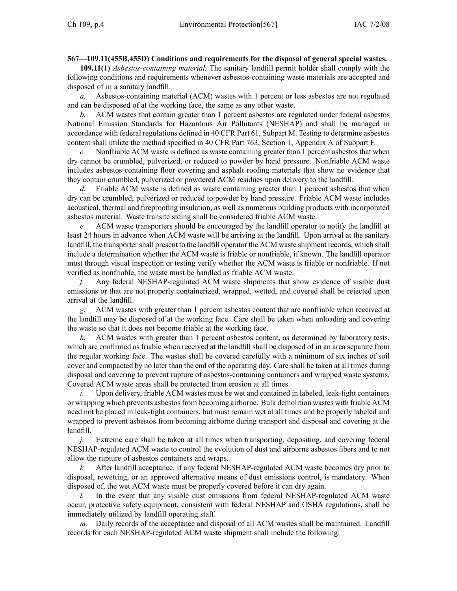# 567—109.11(455B,455D) Conditions and requirements for the disposal of general special wastes.

**109.11(1)** *Asbestos-containing material.* The sanitary landfill permit holder shall comply with the following conditions and requirements whenever asbestos-containing waste materials are accepted and disposed of in a sanitary landfill.<br> $a$ . Asbestos-containing ma

Asbestos-containing material (ACM) wastes with 1 percent or less asbestos are not regulated and can be disposed of at the working face, the same as any other waste.<br>  $h$  ACM wastes that contain greater than 1 percent asbestos are real

*b.* ACM wastes that contain greater than <sup>1</sup> percen<sup>t</sup> asbestos are regulated under federal asbestos National Emission Standards for Hazardous Air Pollutants (NESHAP) and shall be managed in accordance with federal regulations defined in <sup>40</sup> CFR Part 61, Subpart M. Testing to determine asbestos content shall utilize the method specified in 40 CFR Part 763, Section 1, Appendix A of Subpart F.<br>
c. Nonfriable ACM waste is defined as waste containing greater than 1 percent asbestos that w

Nonfriable ACM waste is defined as waste containing greater than 1 percent asbestos that when dry cannot be crumbled, pulverized, or reduced to powder by hand pressure. Nonfriable ACM waste includes asbestos-containing floor covering and asphalt roofing materials that show no evidence that they contain crumbled, pulverized or powdered ACM residues upon delivery to the landfill.<br>d. Friable ACM waste is defined as waste containing greater than 1 percent asbestos

Friable ACM waste is defined as waste containing greater than 1 percent asbestos that when dry can be crumbled, pulverized or reduced to powder by hand pressure. Friable ACM waste includes acoustical, thermal and fireproofing insulation, as well as numerous building products with incorporated asbestos material. Waste transite siding shall be considered friable ACM waste.<br>
e. ACM waste transporters should be encouraged by the landfill operator

*e.* ACM waste transporters should be encouraged by the landfill operator to notify the landfill at least <sup>24</sup> hours in advance when ACM waste will be arriving at the landfill. Upon arrival at the sanitary landfill, the transporter shall presen<sup>t</sup> to the landfill operator the ACM waste shipment records, which shall include <sup>a</sup> determination whether the ACM waste is friable or nonfriable, if known. The landfill operator must through visual inspection or testing verify whether the ACM waste is friable or nonfriable. If not verified as nonfriable, the waste must be handled as friable ACM waste.<br>
f. Any federal NESHAP-regulated ACM waste shipments that s

*f.* Any federal NESHAP-regulated ACM waste shipments that show evidence of visible dust emissions or that are not properly containerized, wrapped, wetted, and covered shall be rejected upon arrival at the landfill.<br> $g.$  ACM wastes

ACM wastes with greater than 1 percent asbestos content that are nonfriable when received at the landfill may be disposed of at the working face. Care shall be taken when unloading and covering the waste so that it does not become friable at the working face.<br> $h$ . ACM wastes with greater than 1 percent asbestos cont

*h.* ACM wastes with greater than <sup>1</sup> percen<sup>t</sup> asbestos content, as determined by laboratory tests, which are confirmed as friable when received at the landfill shall be disposed of in an area separate from the regular working face. The wastes shall be covered carefully with <sup>a</sup> minimum of six inches of soil cover and compacted by no later than the end of the operating day. Care shall be taken at all times during disposal and covering to preven<sup>t</sup> rupture of asbestos-containing containers and wrapped waste systems. Covered ACM waste areas shall be protected from erosion at all times.<br>*i*. Upon delivery, friable ACM wastes must be wet and contained

Upon delivery, friable ACM wastes must be wet and contained in labeled, leak-tight containers or wrapping which prevents asbestos from becoming airborne. Bulk demolition wastes with friable ACM need not be <sup>p</sup>laced in leak-tight containers, but must remain wet at all times and be properly labeled and wrapped to preven<sup>t</sup> asbestos from becoming airborne during transport and disposal and covering at the landfill.

*j.* Extreme care shall be taken at all times when transporting, depositing, and covering federal NESHAP-regulated ACM waste to control the evolution of dust and airborne asbestos fibers and to not allow the rupture of asbestos containers and wraps.<br> $k$  After landfill acceptance, if any federal NE

*k.* After landfill acceptance, if any federal NESHAP-regulated ACM waste becomes dry prior to disposal, rewetting, or an approved alternative means of dust emissions control, is mandatory. When disposed of, the wet ACM waste must be properly covered before it can dry again.<br>
l. In the event that any visible dust emissions from federal NESHAP-res

In the event that any visible dust emissions from federal NESHAP-regulated ACM waste occur, protective safety equipment, consistent with federal NESHAP and OSHA regulations, shall be immediately utilized by landfill operating staff.

*m.* Daily records of the acceptance and disposal of all ACM wastes shall be maintained. Landfill records for each NESHAP-regulated ACM waste shipment shall include the following: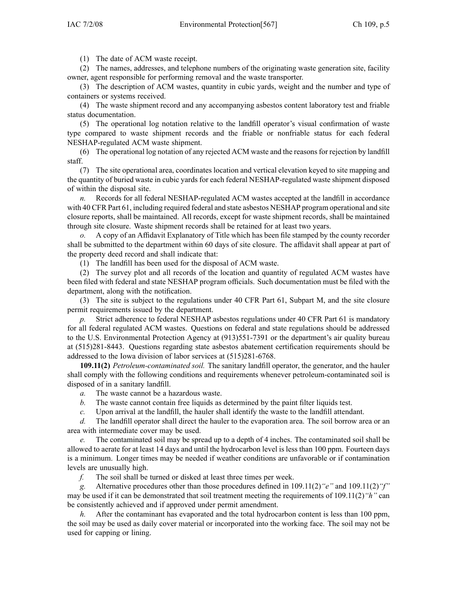(1) The date of ACM waste receipt.

(2) The names, addresses, and telephone numbers of the originating waste generation site, facility owner, agen<sup>t</sup> responsible for performing removal and the waste transporter.

(3) The description of ACM wastes, quantity in cubic yards, weight and the number and type of containers or systems received.

(4) The waste shipment record and any accompanying asbestos content laboratory test and friable status documentation.

(5) The operational log notation relative to the landfill operator's visual confirmation of waste type compared to waste shipment records and the friable or nonfriable status for each federal NESHAP-regulated ACM waste shipment.

(6) The operational log notation of any rejected ACM waste and the reasons for rejection by landfill staff.

(7) The site operational area, coordinates location and vertical elevation keyed to site mapping and the quantity of buried waste in cubic yards for each federal NESHAP-regulated waste shipment disposed % of within the disposal site.<br> $n$ . Records for all fed

Records for all federal NESHAP-regulated ACM wastes accepted at the landfill in accordance with <sup>40</sup> CFR Part 61, including required federal and state asbestos NESHAP program operational and site closure reports, shall be maintained. All records, excep<sup>t</sup> for waste shipment records, shall be maintained through site closure. Waste shipment records shall be retained for at least two years.<br>  $\alpha$  A copy of an Affidavit Explanatory of Title which has been file stamped by t

*o.* <sup>A</sup> copy of an Affidavit Explanatory of Title which has been file stamped by the county recorder shall be submitted to the department within <sup>60</sup> days of site closure. The affidavit shall appear at par<sup>t</sup> of the property deed record and shall indicate that:

(1) The landfill has been used for the disposal of ACM waste.

(2) The survey <sup>p</sup>lot and all records of the location and quantity of regulated ACM wastes have been filed with federal and state NESHAP program officials. Such documentation must be filed with the department, along with the notification.

(3) The site is subject to the regulations under <sup>40</sup> CFR Part 61, Subpart M, and the site closure permit requirements issued by the department.<br>p. Strict adherence to federal NESHAP a

Strict adherence to federal NESHAP asbestos regulations under 40 CFR Part 61 is mandatory for all federal regulated ACM wastes. Questions on federal and state regulations should be addressed to the U.S. Environmental Protection Agency at (913)551-7391 or the department's air quality bureau at (515)281-8443. Questions regarding state asbestos abatement certification requirements should be addressed to the Iowa division of labor services at (515)281-6768.

**109.11(2)** *Petroleum-contaminated soil.* The sanitary landfill operator, the generator, and the hauler shall comply with the following conditions and requirements whenever petroleum-contaminated soil is disposed of in a sanitary landfill.<br> $a$ . The waste cannot be a h

*a.* The waste cannot be a hazardous waste.<br>*b.* The waste cannot contain free liquids as

*b.* The waste cannot contain free liquids as determined by the paint filter liquids test. *c.* Upon arrival at the landfill, the hauler shall identify the waste to the landfill attend

*c.* Upon arrival at the landfill, the hauler shall identify the waste to the landfill attendant. *d.* The landfill operator shall direct the hauler to the evaporation area. The soil borrow are

The landfill operator shall direct the hauler to the evaporation area. The soil borrow area or an area with intermediate cover may be used.<br> $e$ . The contaminated soil may be spr

The contaminated soil may be spread up to a depth of 4 inches. The contaminated soil shall be allowed to aerate for at least <sup>14</sup> days and until the hydrocarbon level is less than <sup>100</sup> ppm. Fourteen days is <sup>a</sup> minimum. Longer times may be needed if weather conditions are unfavorable or if contamination levels are unusually high.<br>
f. The soil shall be

The soil shall be turned or disked at least three times per week.

*g.* Alternative procedures other than those procedures defined in 109.11(2)*"e"* and 109.11(2)*"f"* may be used if it can be demonstrated that soil treatment meeting the requirements of 109.11(2)*"h"* can be consistently achieved and if approved under permit amendment.<br> $h$ . After the contaminant has evaporated and the total hydrocal

*h.* After the contaminant has evaporated and the total hydrocarbon content is less than <sup>100</sup> ppm, the soil may be used as daily cover material or incorporated into the working face. The soil may not be used for capping or lining.